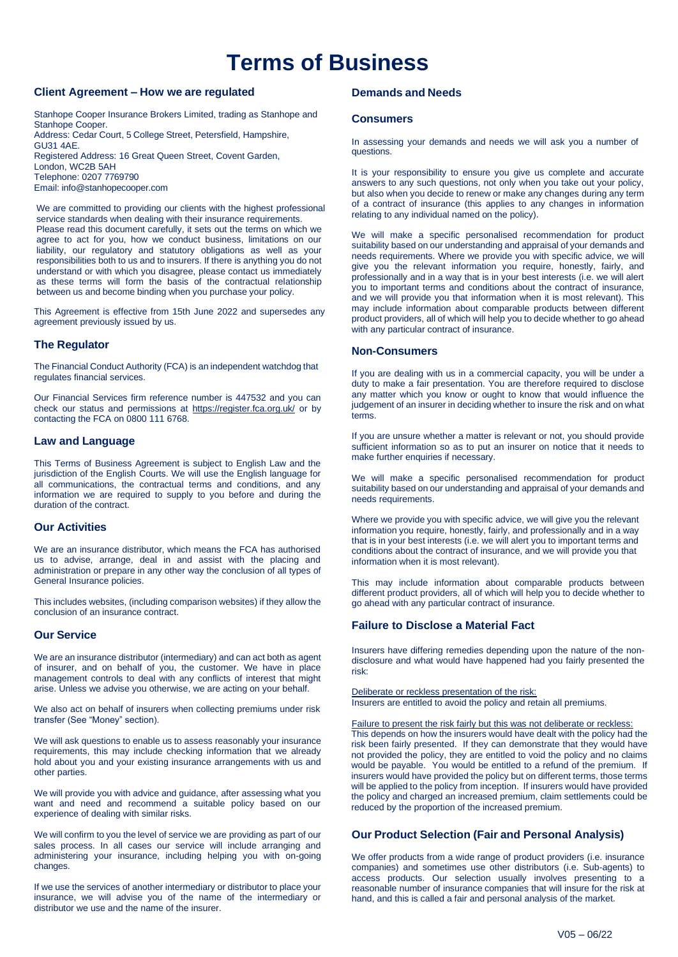# **Terms of Business**

## **Client Agreement – How we are regulated**

Stanhope Cooper Insurance Brokers Limited, trading as Stanhope and Stanhope Cooper. Address: Cedar Court, 5 College Street, Petersfield, Hampshire, GU31 4AE. Registered Address: 16 Great Queen Street, Covent Garden, London, WC2B 5AH Telephone: 0207 7769790 Email: [info@stanhopecooper.com](mailto:info@stanhopecooper.com)

We are committed to providing our clients with the highest professional service standards when dealing with their insurance requirements. Please read this document carefully, it sets out the terms on which we agree to act for you, how we conduct business, limitations on our liability, our regulatory and statutory obligations as well as your responsibilities both to us and to insurers. If there is anything you do not understand or with which you disagree, please contact us immediately as these terms will form the basis of the contractual relationship between us and become binding when you purchase your policy.

This Agreement is effective from 15th June 2022 and supersedes any agreement previously issued by us.

## **The Regulator**

The Financial Conduct Authority (FCA) is an independent watchdog that regulates financial services.

Our Financial Services firm reference number is 447532 and you can check our status and permissions at https://register.fca.org.uk/ or by contacting the FCA on 0800 111 6768.

#### **Law and Language**

This Terms of Business Agreement is subject to English Law and the jurisdiction of the English Courts. We will use the English language for all communications, the contractual terms and conditions, and any information we are required to supply to you before and during the duration of the contract.

## **Our Activities**

We are an insurance distributor, which means the FCA has authorised us to advise, arrange, deal in and assist with the placing and administration or prepare in any other way the conclusion of all types of General Insurance policies.

This includes websites, (including comparison websites) if they allow the conclusion of an insurance contract.

## **Our Service**

We are an insurance distributor (intermediary) and can act both as agent of insurer, and on behalf of you, the customer. We have in place management controls to deal with any conflicts of interest that might arise. Unless we advise you otherwise, we are acting on your behalf.

We also act on behalf of insurers when collecting premiums under risk transfer (See "Money" section).

We will ask questions to enable us to assess reasonably your insurance requirements, this may include checking information that we already hold about you and your existing insurance arrangements with us and other parties.

We will provide you with advice and guidance, after assessing what you want and need and recommend a suitable policy based on our experience of dealing with similar risks.

We will confirm to you the level of service we are providing as part of our sales process. In all cases our service will include arranging and administering your insurance, including helping you with on-going changes.

If we use the services of another intermediary or distributor to place your insurance, we will advise you of the name of the intermediary or distributor we use and the name of the insurer.

## **Demands and Needs**

#### **Consumers**

In assessing your demands and needs we will ask you a number of questions.

It is your responsibility to ensure you give us complete and accurate answers to any such questions, not only when you take out your policy, but also when you decide to renew or make any changes during any term of a contract of insurance (this applies to any changes in information relating to any individual named on the policy).

We will make a specific personalised recommendation for product suitability based on our understanding and appraisal of your demands and needs requirements. Where we provide you with specific advice, we will give you the relevant information you require, honestly, fairly, and professionally and in a way that is in your best interests (i.e. we will alert you to important terms and conditions about the contract of insurance, and we will provide you that information when it is most relevant). This may include information about comparable products between different product providers, all of which will help you to decide whether to go ahead with any particular contract of insurance.

## **Non-Consumers**

If you are dealing with us in a commercial capacity, you will be under a duty to make a fair presentation. You are therefore required to disclose any matter which you know or ought to know that would influence the judgement of an insurer in deciding whether to insure the risk and on what terms.

If you are unsure whether a matter is relevant or not, you should provide sufficient information so as to put an insurer on notice that it needs to make further enquiries if necessary.

We will make a specific personalised recommendation for product suitability based on our understanding and appraisal of your demands and needs requirements.

Where we provide you with specific advice, we will give you the relevant information you require, honestly, fairly, and professionally and in a way that is in your best interests (i.e. we will alert you to important terms and conditions about the contract of insurance, and we will provide you that information when it is most relevant).

This may include information about comparable products between different product providers, all of which will help you to decide whether to go ahead with any particular contract of insurance.

## **Failure to Disclose a Material Fact**

Insurers have differing remedies depending upon the nature of the nondisclosure and what would have happened had you fairly presented the risk:

Deliberate or reckless presentation of the risk: Insurers are entitled to avoid the policy and retain all premiums.

Failure to present the risk fairly but this was not deliberate or reckless: This depends on how the insurers would have dealt with the policy had the risk been fairly presented. If they can demonstrate that they would have not provided the policy, they are entitled to void the policy and no claims would be payable. You would be entitled to a refund of the premium. If insurers would have provided the policy but on different terms, those terms will be applied to the policy from inception. If insurers would have provided the policy and charged an increased premium, claim settlements could be reduced by the proportion of the increased premium.

## **Our Product Selection (Fair and Personal Analysis)**

We offer products from a wide range of product providers (i.e. insurance companies) and sometimes use other distributors (i.e. Sub-agents) to access products. Our selection usually involves presenting to a reasonable number of insurance companies that will insure for the risk at hand, and this is called a fair and personal analysis of the market.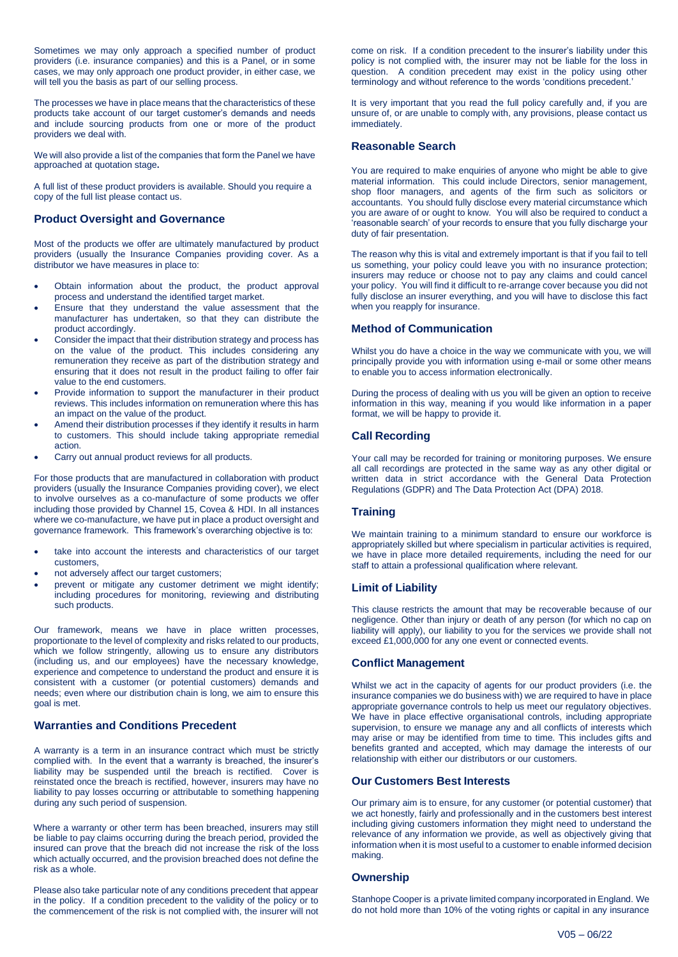Sometimes we may only approach a specified number of product providers (i.e. insurance companies) and this is a Panel, or in some cases, we may only approach one product provider, in either case, we will tell you the basis as part of our selling process.

The processes we have in place means that the characteristics of these products take account of our target customer's demands and needs and include sourcing products from one or more of the product providers we deal with.

We will also provide a list of the companies that form the Panel we have approached at quotation stage**.**

A full list of these product providers is available. Should you require a copy of the full list please contact us.

#### **Product Oversight and Governance**

Most of the products we offer are ultimately manufactured by product providers (usually the Insurance Companies providing cover. As a distributor we have measures in place to:

- Obtain information about the product, the product approval process and understand the identified target market.
- Ensure that they understand the value assessment that the manufacturer has undertaken, so that they can distribute the product accordingly.
- Consider the impact that their distribution strategy and process has on the value of the product. This includes considering any remuneration they receive as part of the distribution strategy and ensuring that it does not result in the product failing to offer fair value to the end customers.
- Provide information to support the manufacturer in their product reviews. This includes information on remuneration where this has an impact on the value of the product.
- Amend their distribution processes if they identify it results in harm to customers. This should include taking appropriate remedial action.
- Carry out annual product reviews for all products.

For those products that are manufactured in collaboration with product providers (usually the Insurance Companies providing cover), we elect to involve ourselves as a co-manufacture of some products we offer including those provided by Channel 15, Covea & HDI. In all instances where we co-manufacture, we have put in place a product oversight and governance framework. This framework's overarching objective is to:

- take into account the interests and characteristics of our target customers,
- not adversely affect our target customers;
- prevent or mitigate any customer detriment we might identify; including procedures for monitoring, reviewing and distributing such products.

Our framework, means we have in place written processes, proportionate to the level of complexity and risks related to our products, which we follow stringently, allowing us to ensure any distributors (including us, and our employees) have the necessary knowledge, experience and competence to understand the product and ensure it is consistent with a customer (or potential customers) demands and needs; even where our distribution chain is long, we aim to ensure this goal is met.

## **Warranties and Conditions Precedent**

A warranty is a term in an insurance contract which must be strictly complied with. In the event that a warranty is breached, the insurer's liability may be suspended until the breach is rectified. Cover is reinstated once the breach is rectified, however, insurers may have no liability to pay losses occurring or attributable to something happening during any such period of suspension.

Where a warranty or other term has been breached, insurers may still be liable to pay claims occurring during the breach period, provided the insured can prove that the breach did not increase the risk of the loss which actually occurred, and the provision breached does not define the risk as a whole.

Please also take particular note of any conditions precedent that appear in the policy. If a condition precedent to the validity of the policy or to the commencement of the risk is not complied with, the insurer will not

come on risk. If a condition precedent to the insurer's liability under this policy is not complied with, the insurer may not be liable for the loss in question. A condition precedent may exist in the policy using other terminology and without reference to the words 'conditions precedent.'

It is very important that you read the full policy carefully and, if you are unsure of, or are unable to comply with, any provisions, please contact us immediately.

#### **Reasonable Search**

You are required to make enquiries of anyone who might be able to give material information. This could include Directors, senior management, shop floor managers, and agents of the firm such as solicitors or accountants. You should fully disclose every material circumstance which you are aware of or ought to know. You will also be required to conduct a 'reasonable search' of your records to ensure that you fully discharge your duty of fair presentation.

The reason why this is vital and extremely important is that if you fail to tell us something, your policy could leave you with no insurance protection; insurers may reduce or choose not to pay any claims and could cancel your policy. You will find it difficult to re-arrange cover because you did not fully disclose an insurer everything, and you will have to disclose this fact when you reapply for insurance.

## **Method of Communication**

Whilst you do have a choice in the way we communicate with you, we will principally provide you with information using e-mail or some other means to enable you to access information electronically.

During the process of dealing with us you will be given an option to receive information in this way, meaning if you would like information in a paper format, we will be happy to provide it.

## **Call Recording**

Your call may be recorded for training or monitoring purposes. We ensure all call recordings are protected in the same way as any other digital or written data in strict accordance with the General Data Protection Regulations (GDPR) and The Data Protection Act (DPA) 2018.

## **Training**

We maintain training to a minimum standard to ensure our workforce is appropriately skilled but where specialism in particular activities is required, we have in place more detailed requirements, including the need for our staff to attain a professional qualification where relevant.

## **Limit of Liability**

This clause restricts the amount that may be recoverable because of our negligence. Other than injury or death of any person (for which no cap on liability will apply), our liability to you for the services we provide shall not exceed £1,000,000 for any one event or connected events.

## **Conflict Management**

Whilst we act in the capacity of agents for our product providers (i.e. the insurance companies we do business with) we are required to have in place appropriate governance controls to help us meet our regulatory objectives. We have in place effective organisational controls, including appropriate supervision, to ensure we manage any and all conflicts of interests which may arise or may be identified from time to time. This includes gifts and benefits granted and accepted, which may damage the interests of our relationship with either our distributors or our customers.

#### **Our Customers Best Interests**

Our primary aim is to ensure, for any customer (or potential customer) that we act honestly, fairly and professionally and in the customers best interest including giving customers information they might need to understand the relevance of any information we provide, as well as objectively giving that information when it is most useful to a customer to enable informed decision making.

#### **Ownership**

Stanhope Cooper is a private limited company incorporated in England. We do not hold more than 10% of the voting rights or capital in any insurance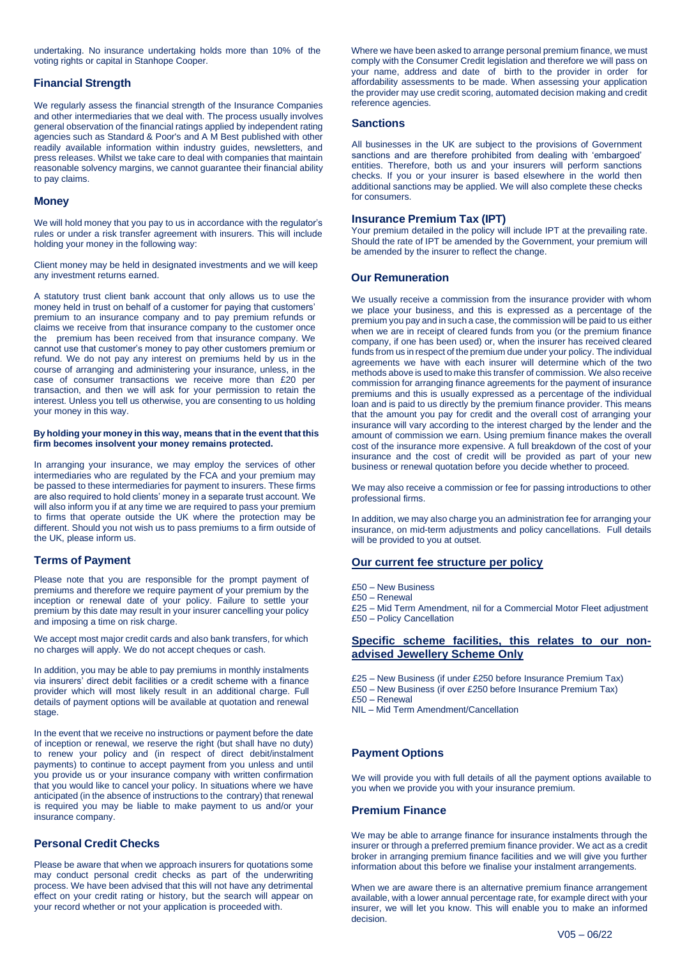undertaking. No insurance undertaking holds more than 10% of the voting rights or capital in Stanhope Cooper.

## **Financial Strength**

We regularly assess the financial strength of the Insurance Companies and other intermediaries that we deal with. The process usually involves general observation of the financial ratings applied by independent rating agencies such as Standard & Poor's and A M Best published with other readily available information within industry guides, newsletters, and press releases. Whilst we take care to deal with companies that maintain reasonable solvency margins, we cannot guarantee their financial ability to pay claims.

#### **Money**

We will hold money that you pay to us in accordance with the regulator's rules or under a risk transfer agreement with insurers. This will include holding your money in the following way:

Client money may be held in designated investments and we will keep any investment returns earned.

A statutory trust client bank account that only allows us to use the money held in trust on behalf of a customer for paying that customers' premium to an insurance company and to pay premium refunds or claims we receive from that insurance company to the customer once the premium has been received from that insurance company. We cannot use that customer's money to pay other customers premium or refund. We do not pay any interest on premiums held by us in the course of arranging and administering your insurance, unless, in the case of consumer transactions we receive more than £20 per transaction, and then we will ask for your permission to retain the interest. Unless you tell us otherwise, you are consenting to us holding your money in this way.

#### **By holding your money in this way, means that in the event that this firm becomes insolvent your money remains protected.**

In arranging your insurance, we may employ the services of other intermediaries who are regulated by the FCA and your premium may be passed to these intermediaries for payment to insurers. These firms are also required to hold clients' money in a separate trust account. We will also inform you if at any time we are required to pass your premium to firms that operate outside the UK where the protection may be different. Should you not wish us to pass premiums to a firm outside of the UK, please inform us.

## **Terms of Payment**

Please note that you are responsible for the prompt payment of premiums and therefore we require payment of your premium by the inception or renewal date of your policy. Failure to settle your premium by this date may result in your insurer cancelling your policy and imposing a time on risk charge.

We accept most major credit cards and also bank transfers, for which no charges will apply. We do not accept cheques or cash.

In addition, you may be able to pay premiums in monthly instalments via insurers' direct debit facilities or a credit scheme with a finance provider which will most likely result in an additional charge. Full details of payment options will be available at quotation and renewal stage.

In the event that we receive no instructions or payment before the date of inception or renewal, we reserve the right (but shall have no duty) to renew your policy and (in respect of direct debit/instalment payments) to continue to accept payment from you unless and until you provide us or your insurance company with written confirmation that you would like to cancel your policy. In situations where we have anticipated (in the absence of instructions to the contrary) that renewal is required you may be liable to make payment to us and/or your insurance company.

## **Personal Credit Checks**

Please be aware that when we approach insurers for quotations some may conduct personal credit checks as part of the underwriting process. We have been advised that this will not have any detrimental effect on your credit rating or history, but the search will appear on your record whether or not your application is proceeded with.

Where we have been asked to arrange personal premium finance, we must comply with the Consumer Credit legislation and therefore we will pass on your name, address and date of birth to the provider in order for affordability assessments to be made. When assessing your application the provider may use credit scoring, automated decision making and credit reference agencies.

#### **Sanctions**

All businesses in the UK are subject to the provisions of Government sanctions and are therefore prohibited from dealing with 'embargoed' entities. Therefore, both us and your insurers will perform sanctions checks. If you or your insurer is based elsewhere in the world then additional sanctions may be applied. We will also complete these checks for consumers.

#### **Insurance Premium Tax (IPT)**

Your premium detailed in the policy will include IPT at the prevailing rate. Should the rate of IPT be amended by the Government, your premium will be amended by the insurer to reflect the change.

## **Our Remuneration**

We usually receive a commission from the insurance provider with whom we place your business, and this is expressed as a percentage of the premium you pay and in such a case, the commission will be paid to us either when we are in receipt of cleared funds from you (or the premium finance company, if one has been used) or, when the insurer has received cleared funds from us in respect of the premium due under your policy. The individual agreements we have with each insurer will determine which of the two methods above is used to make this transfer of commission. We also receive commission for arranging finance agreements for the payment of insurance premiums and this is usually expressed as a percentage of the individual loan and is paid to us directly by the premium finance provider. This means that the amount you pay for credit and the overall cost of arranging your insurance will vary according to the interest charged by the lender and the amount of commission we earn. Using premium finance makes the overall cost of the insurance more expensive. A full breakdown of the cost of your insurance and the cost of credit will be provided as part of your new business or renewal quotation before you decide whether to proceed.

We may also receive a commission or fee for passing introductions to other professional firms.

In addition, we may also charge you an administration fee for arranging your insurance, on mid-term adjustments and policy cancellations. Full details will be provided to you at outset.

## **Our current fee structure per policy**

- £50 New Business
- £50 Renewal
- £25 Mid Term Amendment, nil for a Commercial Motor Fleet adjustment £50 – Policy Cancellation

## **Specific scheme facilities, this relates to our nonadvised Jewellery Scheme Only**

- £25 New Business (if under £250 before Insurance Premium Tax)
- £50 New Business (if over £250 before Insurance Premium Tax)

£50 – Renewal

NIL – Mid Term Amendment/Cancellation

# **Payment Options**

We will provide you with full details of all the payment options available to you when we provide you with your insurance premium.

## **Premium Finance**

We may be able to arrange finance for insurance instalments through the insurer or through a preferred premium finance provider. We act as a credit broker in arranging premium finance facilities and we will give you further information about this before we finalise your instalment arrangements.

When we are aware there is an alternative premium finance arrangement available, with a lower annual percentage rate, for example direct with your insurer, we will let you know. This will enable you to make an informed decision.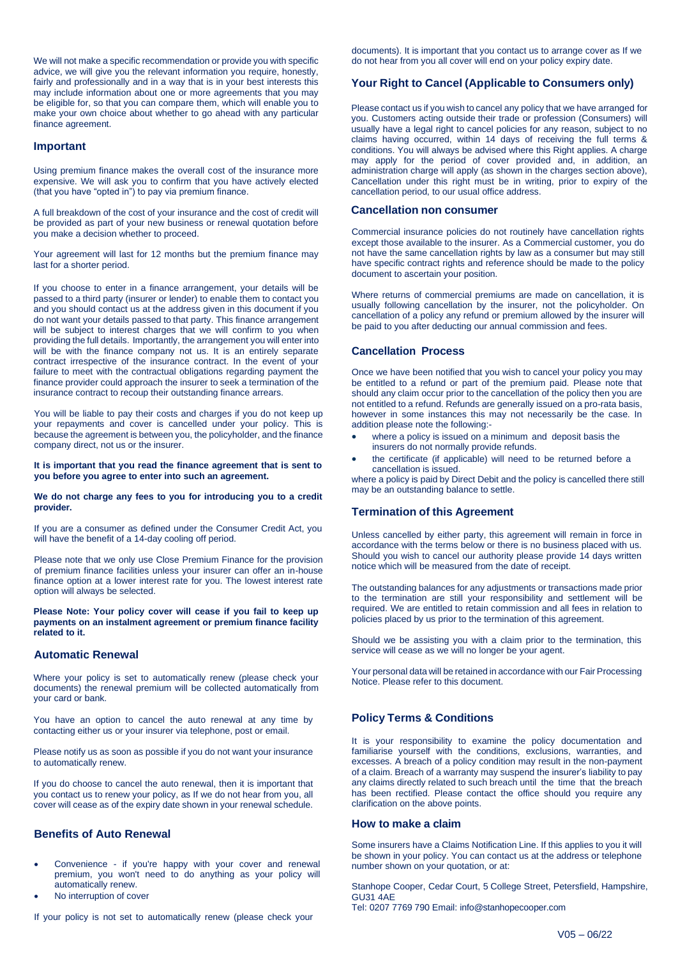We will not make a specific recommendation or provide you with specific advice, we will give you the relevant information you require, honestly, fairly and professionally and in a way that is in your best interests this may include information about one or more agreements that you may be eligible for, so that you can compare them, which will enable you to make your own choice about whether to go ahead with any particular finance agreement.

#### **Important**

Using premium finance makes the overall cost of the insurance more expensive. We will ask you to confirm that you have actively elected (that you have "opted in") to pay via premium finance.

A full breakdown of the cost of your insurance and the cost of credit will be provided as part of your new business or renewal quotation before you make a decision whether to proceed.

Your agreement will last for 12 months but the premium finance may last for a shorter period.

If you choose to enter in a finance arrangement, your details will be passed to a third party (insurer or lender) to enable them to contact you and you should contact us at the address given in this document if you do not want your details passed to that party. This finance arrangement will be subject to interest charges that we will confirm to you when providing the full details. Importantly, the arrangement you will enter into will be with the finance company not us. It is an entirely separate contract irrespective of the insurance contract. In the event of your failure to meet with the contractual obligations regarding payment the finance provider could approach the insurer to seek a termination of the insurance contract to recoup their outstanding finance arrears.

You will be liable to pay their costs and charges if you do not keep up your repayments and cover is cancelled under your policy. This is because the agreement is between you, the policyholder, and the finance company direct, not us or the insurer.

#### **It is important that you read the finance agreement that is sent to you before you agree to enter into such an agreement.**

#### **We do not charge any fees to you for introducing you to a credit provider.**

If you are a consumer as defined under the Consumer Credit Act, you will have the benefit of a 14-day cooling off period.

Please note that we only use Close Premium Finance for the provision of premium finance facilities unless your insurer can offer an in-house finance option at a lower interest rate for you. The lowest interest rate option will always be selected.

**Please Note: Your policy cover will cease if you fail to keep up payments on an instalment agreement or premium finance facility related to it.**

#### **Automatic Renewal**

Where your policy is set to automatically renew (please check your documents) the renewal premium will be collected automatically from your card or bank.

You have an option to cancel the auto renewal at any time by contacting either us or your insurer via telephone, post or email.

Please notify us as soon as possible if you do not want your insurance to automatically renew.

If you do choose to cancel the auto renewal, then it is important that you contact us to renew your policy, as If we do not hear from you, all cover will cease as of the expiry date shown in your renewal schedule.

## **Benefits of Auto Renewal**

- Convenience if you're happy with your cover and renewal premium, you won't need to do anything as your policy will automatically renew.
- No interruption of cover

If your policy is not set to automatically renew (please check your

documents). It is important that you contact us to arrange cover as If we do not hear from you all cover will end on your policy expiry date.

## **Your Right to Cancel (Applicable to Consumers only)**

Please contact us if you wish to cancel any policy that we have arranged for you. Customers acting outside their trade or profession (Consumers) will usually have a legal right to cancel policies for any reason, subject to no claims having occurred, within 14 days of receiving the full terms & conditions. You will always be advised where this Right applies. A charge may apply for the period of cover provided and, in addition, an administration charge will apply (as shown in the charges section above), Cancellation under this right must be in writing, prior to expiry of the cancellation period, to our usual office address.

#### **Cancellation non consumer**

Commercial insurance policies do not routinely have cancellation rights except those available to the insurer. As a Commercial customer, you do not have the same cancellation rights by law as a consumer but may still have specific contract rights and reference should be made to the policy document to ascertain your position.

Where returns of commercial premiums are made on cancellation, it is usually following cancellation by the insurer, not the policyholder. On cancellation of a policy any refund or premium allowed by the insurer will be paid to you after deducting our annual commission and fees.

#### **Cancellation Process**

Once we have been notified that you wish to cancel your policy you may be entitled to a refund or part of the premium paid. Please note that should any claim occur prior to the cancellation of the policy then you are not entitled to a refund. Refunds are generally issued on a pro-rata basis, however in some instances this may not necessarily be the case. In addition please note the following:-

- where a policy is issued on a minimum and deposit basis the
- insurers do not normally provide refunds. • the certificate (if applicable) will need to be returned before a
- cancellation is issued.

where a policy is paid by Direct Debit and the policy is cancelled there still may be an outstanding balance to settle.

#### **Termination of this Agreement**

Unless cancelled by either party, this agreement will remain in force in accordance with the terms below or there is no business placed with us. Should you wish to cancel our authority please provide 14 days written notice which will be measured from the date of receipt.

The outstanding balances for any adjustments or transactions made prior to the termination are still your responsibility and settlement will be required. We are entitled to retain commission and all fees in relation to policies placed by us prior to the termination of this agreement.

Should we be assisting you with a claim prior to the termination, this service will cease as we will no longer be your agent.

Your personal data will be retained in accordance with our Fair Processing Notice. Please refer to this document.

## **Policy Terms & Conditions**

It is your responsibility to examine the policy documentation and familiarise yourself with the conditions, exclusions, warranties, and excesses. A breach of a policy condition may result in the non-payment of a claim. Breach of a warranty may suspend the insurer's liability to pay any claims directly related to such breach until the time that the breach has been rectified. Please contact the office should you require any clarification on the above points.

#### **How to make a claim**

Some insurers have a Claims Notification Line. If this applies to you it will be shown in your policy. You can contact us at the address or telephone number shown on your quotation, or at:

Stanhope Cooper, Cedar Court, 5 College Street, Petersfield, Hampshire, GU31 4AE

Tel: 0207 7769 790 Email: [info@stanhopecooper.com](mailto:info@stanhopecooper.com)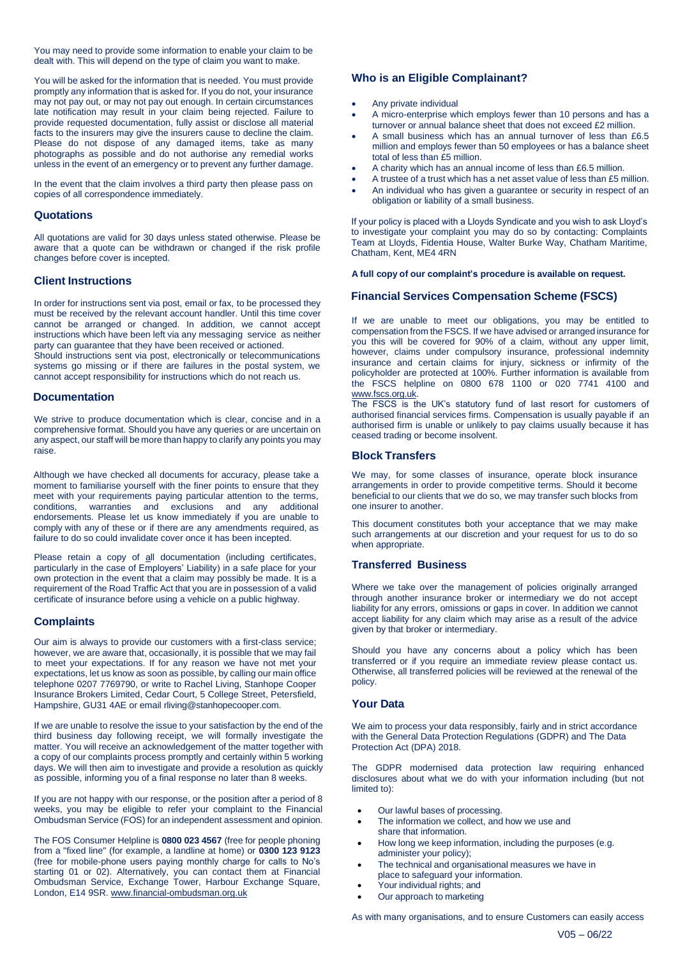You may need to provide some information to enable your claim to be dealt with. This will depend on the type of claim you want to make.

You will be asked for the information that is needed. You must provide promptly any information that is asked for. If you do not, your insurance may not pay out, or may not pay out enough. In certain circumstances late notification may result in your claim being rejected. Failure to provide requested documentation, fully assist or disclose all material facts to the insurers may give the insurers cause to decline the claim. Please do not dispose of any damaged items, take as many photographs as possible and do not authorise any remedial works unless in the event of an emergency or to prevent any further damage.

In the event that the claim involves a third party then please pass on copies of all correspondence immediately.

#### **Quotations**

All quotations are valid for 30 days unless stated otherwise. Please be aware that a quote can be withdrawn or changed if the risk profile changes before cover is incepted.

#### **Client Instructions**

In order for instructions sent via post, email or fax, to be processed they must be received by the relevant account handler. Until this time cover cannot be arranged or changed. In addition, we cannot accept instructions which have been left via any messaging service as neither party can guarantee that they have been received or actioned.

Should instructions sent via post, electronically or telecommunications systems go missing or if there are failures in the postal system, we cannot accept responsibility for instructions which do not reach us.

#### **Documentation**

We strive to produce documentation which is clear, concise and in a comprehensive format. Should you have any queries or are uncertain on any aspect, our staff will be more than happy to clarify any points you may raise.

Although we have checked all documents for accuracy, please take a moment to familiarise yourself with the finer points to ensure that they meet with your requirements paying particular attention to the terms, conditions, warranties and exclusions and any additional endorsements. Please let us know immediately if you are unable to comply with any of these or if there are any amendments required, as failure to do so could invalidate cover once it has been incepted.

Please retain a copy of all documentation (including certificates, particularly in the case of Employers' Liability) in a safe place for your own protection in the event that a claim may possibly be made. It is a requirement of the Road Traffic Act that you are in possession of a valid certificate of insurance before using a vehicle on a public highway.

#### **Complaints**

Our aim is always to provide our customers with a first-class service; however, we are aware that, occasionally, it is possible that we may fail to meet your expectations. If for any reason we have not met your expectations, let us know as soon as possible, by calling our main office telephone 0207 7769790, or write to Rachel Living, Stanhope Cooper Insurance Brokers Limited, Cedar Court, 5 College Street, Petersfield, Hampshire, GU31 4AE or emai[l rliving@stanhopecooper.com.](mailto:rliving@stanhopecooper.com)

If we are unable to resolve the issue to your satisfaction by the end of the third business day following receipt, we will formally investigate the matter. You will receive an acknowledgement of the matter together with a copy of our complaints process promptly and certainly within 5 working days. We will then aim to investigate and provide a resolution as quickly as possible, informing you of a final response no later than 8 weeks.

If you are not happy with our response, or the position after a period of 8 weeks, you may be eligible to refer your complaint to the Financial Ombudsman Service (FOS) for an independent assessment and opinion.

The FOS Consumer Helpline is **0800 023 4567** (free for people phoning from a "fixed line" (for example, a landline at home) or **0300 123 9123**  (free for mobile-phone users paying monthly charge for calls to No's starting 01 or 02). Alternatively, you can contact them at Financial Ombudsman Service, Exchange Tower, Harbour Exchange Square, London, E14 9SR[. www.financial-ombudsman.org.uk](http://www.financial-ombudsman.org.uk/)

## **Who is an Eligible Complainant?**

#### • Any private individual

- A micro-enterprise which employs fewer than 10 persons and has a turnover or annual balance sheet that does not exceed £2 million.
- A small business which has an annual turnover of less than £6.5 million and employs fewer than 50 employees or has a balance sheet total of less than £5 million.
- A charity which has an annual income of less than £6.5 million.
- A trustee of a trust which has a net asset value of less than £5 million.
- An individual who has given a guarantee or security in respect of an obligation or liability of a small business.

If your policy is placed with a Lloyds Syndicate and you wish to ask Lloyd's to investigate your complaint you may do so by contacting: Complaints Team at Lloyds, Fidentia House, Walter Burke Way, Chatham Maritime, Chatham, Kent, ME4 4RN

**A full copy of our complaint's procedure is available on request.**

#### **Financial Services Compensation Scheme (FSCS)**

If we are unable to meet our obligations, you may be entitled to compensation from the FSCS. If we have advised or arranged insurance for you this will be covered for 90% of a claim, without any upper limit, however, claims under compulsory insurance, professional indemnity insurance and certain claims for injury, sickness or infirmity of the policyholder are protected at 100%. Further information is available from the FSCS helpline on 0800 678 1100 or 020 7741 4100 and [www.fscs.org.uk.](http://www.fscs.org.uk/)

The FSCS is the UK's statutory fund of last resort for customers of authorised financial services firms. Compensation is usually payable if an authorised firm is unable or unlikely to pay claims usually because it has ceased trading or become insolvent.

#### **Block Transfers**

We may, for some classes of insurance, operate block insurance arrangements in order to provide competitive terms. Should it become beneficial to our clients that we do so, we may transfer such blocks from one insurer to another.

This document constitutes both your acceptance that we may make such arrangements at our discretion and your request for us to do so when appropriate.

#### **Transferred Business**

Where we take over the management of policies originally arranged through another insurance broker or intermediary we do not accept liability for any errors, omissions or gaps in cover. In addition we cannot accept liability for any claim which may arise as a result of the advice given by that broker or intermediary.

Should you have any concerns about a policy which has been transferred or if you require an immediate review please contact us. Otherwise, all transferred policies will be reviewed at the renewal of the policy.

#### **Your Data**

We aim to process your data responsibly, fairly and in strict accordance with the General Data Protection Regulations (GDPR) and The Data Protection Act (DPA) 2018.

The GDPR modernised data protection law requiring enhanced disclosures about what we do with your information including (but not limited to):

- Our lawful bases of processing.
- The information we collect, and how we use and share that information.
- How long we keep information, including the purposes (e.g. administer your policy);
- The technical and organisational measures we have in place to safeguard your information.
- Your individual rights; and
- Our approach to marketing

As with many organisations, and to ensure Customers can easily access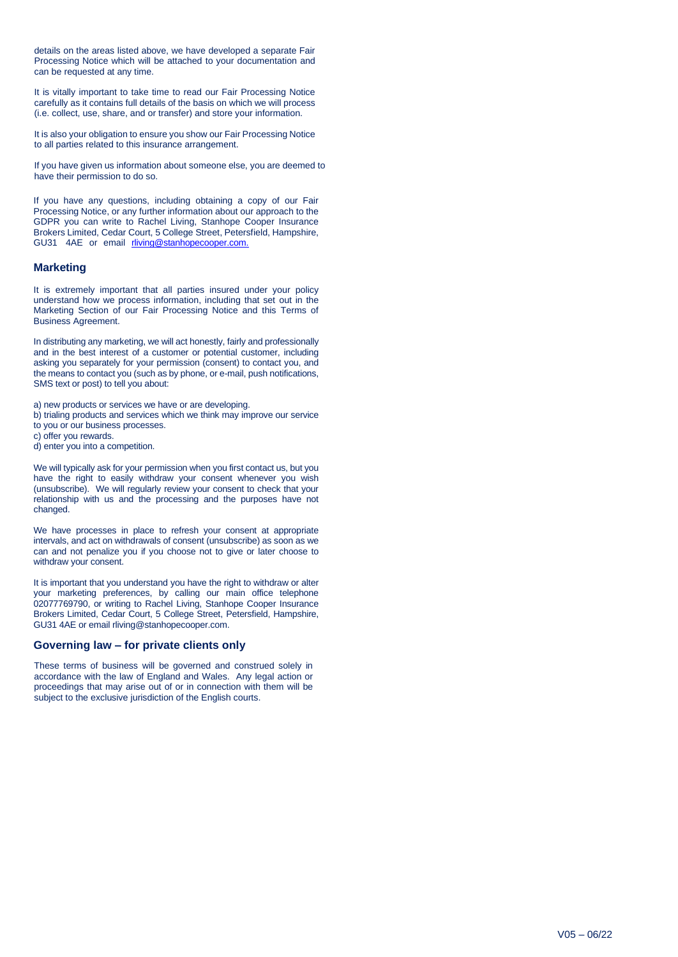details on the areas listed above, we have developed a separate Fair Processing Notice which will be attached to your documentation and can be requested at any time.

It is vitally important to take time to read our Fair Processing Notice carefully as it contains full details of the basis on which we will process (i.e. collect, use, share, and or transfer) and store your information.

It is also your obligation to ensure you show our Fair Processing Notice to all parties related to this insurance arrangement.

If you have given us information about someone else, you are deemed to have their permission to do so.

If you have any questions, including obtaining a copy of our Fair Processing Notice, or any further information about our approach to the GDPR you can write to Rachel Living, Stanhope Cooper Insurance Brokers Limited, Cedar Court, 5 College Street, Petersfield, Hampshire, GU31 4AE or email [rliving@stanhopecooper.com.](mailto:rliving@stanhopecooper.com.)

## **Marketing**

It is extremely important that all parties insured under your policy understand how we process information, including that set out in the Marketing Section of our Fair Processing Notice and this Terms of Business Agreement.

In distributing any marketing, we will act honestly, fairly and professionally and in the best interest of a customer or potential customer, including asking you separately for your permission (consent) to contact you, and the means to contact you (such as by phone, or e-mail, push notifications, SMS text or post) to tell you about:

a) new products or services we have or are developing.

b) trialing products and services which we think may improve our service to you or our business processes.

c) offer you rewards.

d) enter you into a competition.

We will typically ask for your permission when you first contact us, but you have the right to easily withdraw your consent whenever you wish (unsubscribe). We will regularly review your consent to check that your relationship with us and the processing and the purposes have not changed.

We have processes in place to refresh your consent at appropriate intervals, and act on withdrawals of consent (unsubscribe) as soon as we can and not penalize you if you choose not to give or later choose to withdraw your consent.

It is important that you understand you have the right to withdraw or alter your marketing preferences, by calling our main office telephone 02077769790, or writing to Rachel Living, Stanhope Cooper Insurance Brokers Limited, Cedar Court, 5 College Street, Petersfield, Hampshire, GU31 4AE or email rliving@stanhopecooper.com.

#### **Governing law – for private clients only**

These terms of business will be governed and construed solely in accordance with the law of England and Wales. Any legal action or proceedings that may arise out of or in connection with them will be subject to the exclusive jurisdiction of the English courts.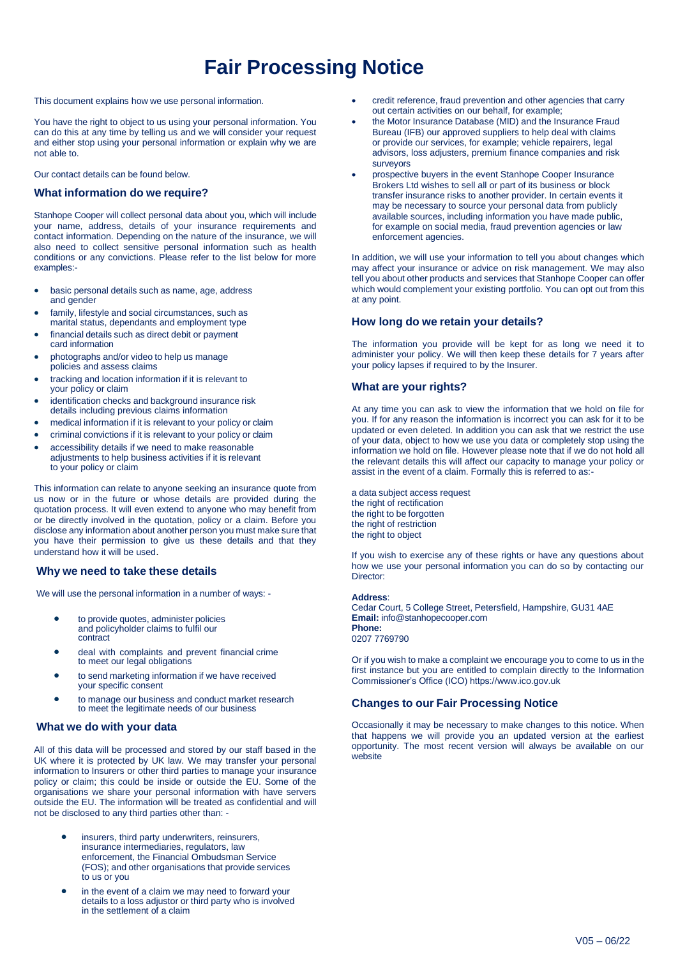# **Fair Processing Notice**

This document explains how we use personal information.

You have the right to object to us using your personal information. You can do this at any time by telling us and we will consider your request and either stop using your personal information or explain why we are not able to.

Our contact details can be found below.

#### **What information do we require?**

Stanhope Cooper will collect personal data about you, which will include your name, address, details of your insurance requirements and contact information. Depending on the nature of the insurance, we will also need to collect sensitive personal information such as health conditions or any convictions. Please refer to the list below for more examples:-

- basic personal details such as name, age, address and gender
- family, lifestyle and social circumstances, such as marital status, dependants and employment type
- financial details such as direct debit or payment card information
- photographs and/or video to help us manage policies and assess claims
- tracking and location information if it is relevant to your policy or claim
- identification checks and background insurance risk details including previous claims information
- medical information if it is relevant to your policy or claim
- criminal convictions if it is relevant to your policy or claim
- accessibility details if we need to make reasonable adjustments to help business activities if it is relevant to your policy or claim

This information can relate to anyone seeking an insurance quote from us now or in the future or whose details are provided during the quotation process. It will even extend to anyone who may benefit from or be directly involved in the quotation, policy or a claim. Before you disclose any information about another person you must make sure that you have their permission to give us these details and that they understand how it will be used.

## **Why we need to take these details**

We will use the personal information in a number of ways: -

- to provide quotes, administer policies and policyholder claims to fulfil our contract
- deal with complaints and prevent financial crime to meet our legal obligations
- to send marketing information if we have received your specific consent
- to manage our business and conduct market research to meet the legitimate needs of our business

#### **What we do with your data**

All of this data will be processed and stored by our staff based in the UK where it is protected by UK law. We may transfer your personal information to Insurers or other third parties to manage your insurance policy or claim; this could be inside or outside the EU. Some of the organisations we share your personal information with have servers outside the EU. The information will be treated as confidential and will not be disclosed to any third parties other than: -

- insurers, third party underwriters, reinsurers, insurance intermediaries, regulators, law enforcement, the Financial Ombudsman Service (FOS); and other organisations that provide services to us or you
- in the event of a claim we may need to forward your details to a loss adjustor or third party who is involved in the settlement of a claim
- credit reference, fraud prevention and other agencies that carry out certain activities on our behalf, for example;
- the Motor Insurance Database (MID) and the Insurance Fraud Bureau (IFB) our approved suppliers to help deal with claims or provide our services, for example; vehicle repairers, legal advisors, loss adjusters, premium finance companies and risk surveyors
- prospective buyers in the event Stanhope Cooper Insurance Brokers Ltd wishes to sell all or part of its business or block transfer insurance risks to another provider. In certain events it may be necessary to source your personal data from publicly available sources, including information you have made public, for example on social media, fraud prevention agencies or law enforcement agencies.

In addition, we will use your information to tell you about changes which may affect your insurance or advice on risk management. We may also tell you about other products and services that Stanhope Cooper can offer which would complement your existing portfolio. You can opt out from this at any point.

## **How long do we retain your details?**

The information you provide will be kept for as long we need it to administer your policy. We will then keep these details for 7 years after your policy lapses if required to by the Insurer.

## **What are your rights?**

At any time you can ask to view the information that we hold on file for you. If for any reason the information is incorrect you can ask for it to be updated or even deleted. In addition you can ask that we restrict the use of your data, object to how we use you data or completely stop using the information we hold on file. However please note that if we do not hold all the relevant details this will affect our capacity to manage your policy or assist in the event of a claim. Formally this is referred to as:-

a data subject access request the right of rectification the right to be forgotten the right of restriction the right to object

If you wish to exercise any of these rights or have any questions about how we use your personal information you can do so by contacting our Director:

## **Address**:

Cedar Court, 5 College Street, Petersfield, Hampshire, GU31 4AE **Email:** [info@stanhopecooper.com](mailto:info@stanhopecooper.com) **Phone:** 0207 7769790

Or if you wish to make a complaint we encourage you to come to us in the first instance but you are entitled to complain directly to the Information Commissioner's Office (ICO) https:[//www.ico.gov.uk](http://www.ico.gov.uk/)

#### **Changes to our Fair Processing Notice**

Occasionally it may be necessary to make changes to this notice. When that happens we will provide you an updated version at the earliest opportunity. The most recent version will always be available on our website